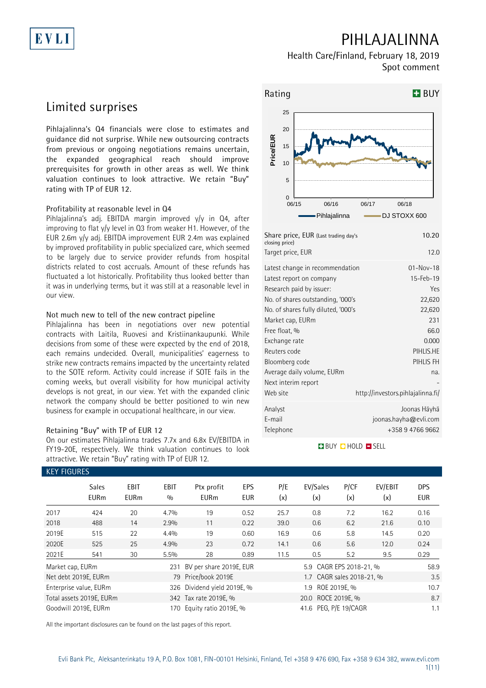## **PIHLAJALINNA**

**Health Care/Finland, February 18, 2019 Spot comment**

## **Limited surprises**

EVLI

**Pihlajalinna's Q4 financials were close to estimates and guidance did not surprise. While new outsourcing contracts from previous or ongoing negotiations remains uncertain, the expanded geographical reach should improve prerequisites for growth in other areas as well. We think valuation continues to look attractive. We retain "Buy" rating with TP of EUR 12.**

### **Profitability at reasonable level in Q4**

Pihlajalinna's adj. EBITDA margin improved y/y in Q4, after improving to flat y/y level in Q3 from weaker H1. However, of the EUR 2.6m y/y adj. EBITDA improvement EUR 2.4m was explained by improved profitability in public specialized care, which seemed to be largely due to service provider refunds from hospital districts related to cost accruals. Amount of these refunds has fluctuated a lot historically. Profitability thus looked better than it was in underlying terms, but it was still at a reasonable level in our view.

### **Not much new to tell of the new contract pipeline**

Pihlajalinna has been in negotiations over new potential contracts with Laitila, Ruovesi and Kristiinankaupunki. While decisions from some of these were expected by the end of 2018, each remains undecided. Overall, municipalities' eagerness to strike new contracts remains impacted by the uncertainty related to the SOTE reform. Activity could increase if SOTE fails in the coming weeks, but overall visibility for how municipal activity develops is not great, in our view. Yet with the expanded clinic network the company should be better positioned to win new business for example in occupational healthcare, in our view.

### **Retaining "Buy" with TP of EUR 12**

On our estimates Pihlajalinna trades 7.7x and 6.8x EV/EBITDA in FY19-20E, respectively. We think valuation continues to look attractive. We retain "Buy" rating with TP of EUR 12.



| Share price, EUR (Last trading day's<br>closing price)                                                                                                                                                                                                                                                           | 10.20                                                                                                            |
|------------------------------------------------------------------------------------------------------------------------------------------------------------------------------------------------------------------------------------------------------------------------------------------------------------------|------------------------------------------------------------------------------------------------------------------|
| Target price, EUR                                                                                                                                                                                                                                                                                                | 12.0                                                                                                             |
| Latest change in recommendation<br>Latest report on company<br>Research paid by issuer:<br>No. of shares outstanding, '000's<br>No. of shares fully diluted, '000's<br>Market cap, EURm<br>Free float, %<br>Exchange rate<br>Reuters code<br>Bloomberg code<br>Average daily volume, EURm<br>Next interim report | $01 - Nov - 18$<br>15-Feb-19<br>Yes<br>22,620<br>22,620<br>231<br>66.0<br>0.000<br>PIHLIS.HE<br>PIHLIS FH<br>na. |
| Web site                                                                                                                                                                                                                                                                                                         | http://investors.pihlajalinna.fi/                                                                                |
| Analyst<br>E-mail<br>Telephone                                                                                                                                                                                                                                                                                   | Joonas Häyhä<br>joonas.hayha@evli.com<br>+358 9 4766 9662                                                        |

### **BUY O HOLD O SELL**

|                  | <b>KEY FIGURES</b>          |                            |                    |                           |            |            |                           |             |                |                          |  |  |
|------------------|-----------------------------|----------------------------|--------------------|---------------------------|------------|------------|---------------------------|-------------|----------------|--------------------------|--|--|
|                  | <b>Sales</b><br><b>EURm</b> | <b>EBIT</b><br><b>EURm</b> | <b>EBIT</b><br>0/0 | Ptx profit<br><b>EURm</b> | EPS<br>EUR | P/E<br>(x) | EV/Sales<br>(x)           | P/CF<br>(x) | EV/EBIT<br>(x) | <b>DPS</b><br><b>EUR</b> |  |  |
| 2017             | 424                         | 20                         | 4.7%               | 19                        | 0.52       | 25.7       | 0.8                       | 7.2         | 16.2           | 0.16                     |  |  |
| 2018             | 488                         | 14                         | 2.9%               | 11                        | 0.22       | 39.0       | 0.6                       | 6.2         | 21.6           | 0.10                     |  |  |
| 2019E            | 515                         | 22                         | 4.4%               | 19                        | 0.60       | 16.9       | 0.6                       | 5.8         | 14.5           | 0.20                     |  |  |
| 2020E            | 525                         | 25                         | 4.9%               | 23                        | 0.72       | 14.1       | 0.6                       | 5.6         | 12.0           | 0.24                     |  |  |
| 2021E            | 541                         | 30                         | 5.5%               | 28                        | 0.89       | 11.5       | 0.5                       | 5.2         | 9.5            | 0.29                     |  |  |
| Market cap, EURm |                             |                            | 231                | BV per share 2019E, EUR   |            |            | 5.9 CAGR EPS 2018-21, %   |             |                | 58.9                     |  |  |
|                  | Net debt 2019E, EURm        |                            |                    | 79 Price/book 2019E       |            |            | 1.7 CAGR sales 2018-21, % |             |                | 3.5                      |  |  |
|                  | Enterprise value, EURm      |                            | 326                | Dividend yield 2019E, %   |            | 10.7       |                           |             |                |                          |  |  |
|                  | Total assets 2019E, EURm    |                            |                    | 342 Tax rate 2019E, %     |            |            | 20.0 ROCE 2019E, %        |             |                |                          |  |  |
|                  | Goodwill 2019E, EURm        |                            | 170                | Equity ratio 2019E, %     |            |            | 41.6 PEG, P/E 19/CAGR     |             |                | 1.1                      |  |  |

All the important disclosures can be found on the last pages of this report.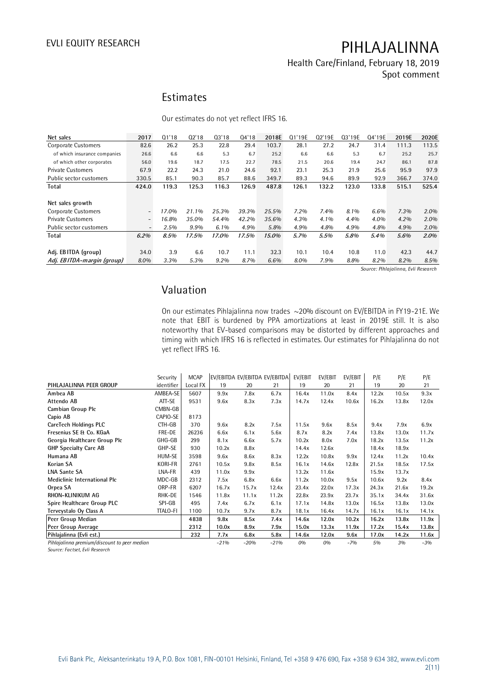### **Health Care/Finland, February 18, 2019 Spot comment**

### **Estimates**

Our estimates do not yet reflect IFRS 16.

| Net sales                    | 2017                         | Q1'18 | Q2'18 | Q3'18 | Q4'18 | 2018E | Q1'19E  | Q2'19E | Q3'19E | Q4'19E | 2019E | 2020E |
|------------------------------|------------------------------|-------|-------|-------|-------|-------|---------|--------|--------|--------|-------|-------|
| <b>Corporate Customers</b>   | 82.6                         | 26.2  | 25.3  | 22.8  | 29.4  | 103.7 | 28.1    | 27.2   | 24.7   | 31.4   | 111.3 | 113.5 |
| of which insurance companies | 26.6                         | 6.6   | 6.6   | 5.3   | 6.7   | 25.2  | 6.6     | 6.6    | 5.3    | 6.7    | 25.2  | 25.7  |
| of which other corporates    | 56.0                         | 19.6  | 18.7  | 17.5  | 22.7  | 78.5  | 21.5    | 20.6   | 19.4   | 24.7   | 86.1  | 87.8  |
| <b>Private Customers</b>     | 67.9                         | 22.2  | 24.3  | 21.0  | 24.6  | 92.1  | 23.1    | 25.3   | 21.9   | 25.6   | 95.9  | 97.9  |
| Public sector customers      | 330.5                        | 85.1  | 90.3  | 85.7  | 88.6  | 349.7 | 89.3    | 94.6   | 89.9   | 92.9   | 366.7 | 374.0 |
| Total                        | 424.0                        | 119.3 | 125.3 | 116.3 | 126.9 | 487.8 | 126.1   | 132.2  | 123.0  | 133.8  | 515.1 | 525.4 |
|                              |                              |       |       |       |       |       |         |        |        |        |       |       |
| Net sales growth             |                              |       |       |       |       |       |         |        |        |        |       |       |
| Corporate Customers          | $\overline{\phantom{a}}$     | 17.0% | 21.1% | 25.3% | 39.3% | 25.5% | $7.2\%$ | 7.4%   | 8.1%   | 6.6%   | 7.3%  | 2.0%  |
| <b>Private Customers</b>     | $\overline{\phantom{a}}$     | 16.8% | 35.0% | 54.4% | 42.2% | 35.6% | 4.3%    | 4.1%   | 4.4%   | 4.0%   | 4.2%  | 2.0%  |
| Public sector customers      | $\qquad \qquad \blacksquare$ | 2.5%  | 9.9%  | 6.1%  | 4.9%  | 5.8%  | 4.9%    | 4.8%   | 4.9%   | 4.8%   | 4.9%  | 2.0%  |
| Total                        | $6.2\%$                      | 8.5%  | 17.5% | 17.0% | 17.5% | 15.0% | 5.7%    | 5.5%   | 5.8%   | 5.4%   | 5.6%  | 2.0%  |
|                              |                              |       |       |       |       |       |         |        |        |        |       |       |
| Adj. EBITDA (group)          | 34.0                         | 3.9   | 6.6   | 10.7  | 11.1  | 32.3  | 10.1    | 10.4   | 10.8   | 11.0   | 42.3  | 44.7  |
| Adj. EBITDA-margin (group)   | 8.0%                         | 3.3%  | 5.3%  | 9.2%  | 8.7%  | 6.6%  | 8.0%    | 7.9%   | 8.8%   | 8.2%   | 8.2%  | 8.5%  |

*Source: Pihlajalinna, Evli Research*

### **Valuation**

On our estimates Pihlajalinna now trades ~20% discount on EV/EBITDA in FY19-21E. We note that EBIT is burdened by PPA amortizations at least in 2019E still. It is also noteworthy that EV-based comparisons may be distorted by different approaches and timing with which IFRS 16 is reflected in estimates. Our estimates for Pihlajalinna do not yet reflect IFRS 16.

|                                              | yet reflect IFRS 16. |             |                               |        |        |         |         |         |       |       |       |
|----------------------------------------------|----------------------|-------------|-------------------------------|--------|--------|---------|---------|---------|-------|-------|-------|
|                                              |                      |             |                               |        |        |         |         |         |       |       |       |
|                                              |                      |             |                               |        |        |         |         |         |       |       |       |
|                                              | Security             | <b>MCAP</b> | EV/EBITDA EV/EBITDA EV/EBITDA |        |        | EV/EBIT | EV/EBIT | EV/EBIT | P/E   | P/E   | P/E   |
| PIHLAJALINNA PEER GROUP                      | identifier           | Local FX    | 19                            | 20     | 21     | 19      | 20      | 21      | 19    | 20    | 21    |
| Ambea AB                                     | AMBEA-SE             | 5607        | 9.9x                          | 7.8x   | 6.7x   | 16.4x   | 11.0x   | 8.4x    | 12.2x | 10.5x | 9.3x  |
| Attendo AB                                   | ATT-SE               | 9531        | 9.6x                          | 8.3x   | 7.3x   | 14.7x   | 12.4x   | 10.6x   | 16.2x | 13.8x | 12.0x |
| Cambian Group Plc                            | CMBN-GB              |             |                               |        |        |         |         |         |       |       |       |
| Capio AB                                     | CAPIO-SE             | 8173        |                               |        |        |         |         |         |       |       |       |
| CareTech Holdings PLC                        | CTH-GB               | 370         | 9.6x                          | 8.2x   | 7.5x   | 11.5x   | 9.6x    | 8.5x    | 9.4x  | 7.9x  | 6.9x  |
| Fresenius SE & Co. KGaA                      | FRE-DE               | 26236       | 6.6x                          | 6.1x   | 5.6x   | 8.7x    | 8.2x    | 7.4x    | 13.8x | 13.0x | 11.7x |
| Georgia Healthcare Group Plc                 | GHG-GB               | 299         | 8.1x                          | 6.6x   | 5.7x   | 10.2x   | 8.0x    | 7.0x    | 18.2x | 13.5x | 11.2x |
| <b>GHP Specialty Care AB</b>                 | GHP-SE               | 930         | 10.2x                         | 8.8x   |        | 14.4x   | 12.6x   |         | 18.4x | 18.9x |       |
| Humana AB                                    | HUM-SE               | 3598        | 9.6x                          | 8.6x   | 8.3x   | 12.2x   | 10.8x   | 9.9x    | 12.4x | 11.2x | 10.4x |
| Korian SA                                    | <b>KORI-FR</b>       | 2761        | 10.5x                         | 9.8x   | 8.5x   | 16.1x   | 14.6x   | 12.8x   | 21.5x | 18.5x | 17.5x |
| <b>LNA Sante SA</b>                          | LNA-FR               | 439         | 11.0x                         | 9.9x   |        | 13.2x   | 11.6x   |         | 15.9x | 13.7x |       |
| <b>Mediclinic International Plc</b>          | MDC-GB               | 2312        | 7.5x                          | 6.8x   | 6.6x   | 11.2x   | 10.0x   | 9.5x    | 10.6x | 9.2x  | 8.4x  |
| Orpea SA                                     | ORP-FR               | 6207        | 16.7x                         | 15.7x  | 12.4x  | 23.4x   | 22.0x   | 17.3x   | 24.3x | 21.6x | 19.2x |
| <b>RHON-KLINIKUM AG</b>                      | RHK-DE               | 1546        | 11.8x                         | 11.1x  | 11.2x  | 22.8x   | 23.9x   | 23.7x   | 35.1x | 34.4x | 31.6x |
| Spire Healthcare Group PLC                   | SPI-GB               | 495         | 7.4x                          | 6.7x   | 6.1x   | 17.1x   | 14.8x   | 13.0x   | 16.5x | 13.8x | 13.0x |
| Terveystalo Oy Class A                       | <b>TTALO-FI</b>      | 1100        | 10.7x                         | 9.7x   | 8.7x   | 18.1x   | 16.4x   | 14.7x   | 16.1x | 16.1x | 14.1x |
| Peer Group Median                            |                      | 4838        | 9.8x                          | 8.5x   | 7.4x   | 14.6x   | 12.0x   | 10.2x   | 16.2x | 13.8x | 11.9x |
| Peer Group Average                           |                      | 2312        | 10.0x                         | 8.9x   | 7.9x   | 15.0x   | 13.3x   | 11.9x   | 17.2x | 15.4x | 13.8x |
| Pihlajalinna (Evli est.)                     |                      | 232         | 7.7x                          | 6.8x   | 5.8x   | 14.6x   | 12.0x   | 9.6x    | 17.0x | 14.2x | 11.6x |
| Pihlajalinna premium/discount to peer median |                      |             | $-21%$                        | $-20%$ | $-21%$ | 0%      | 0%      | $-7%$   | 5%    | 3%    | $-3%$ |

*Source: Factset, Evli Research*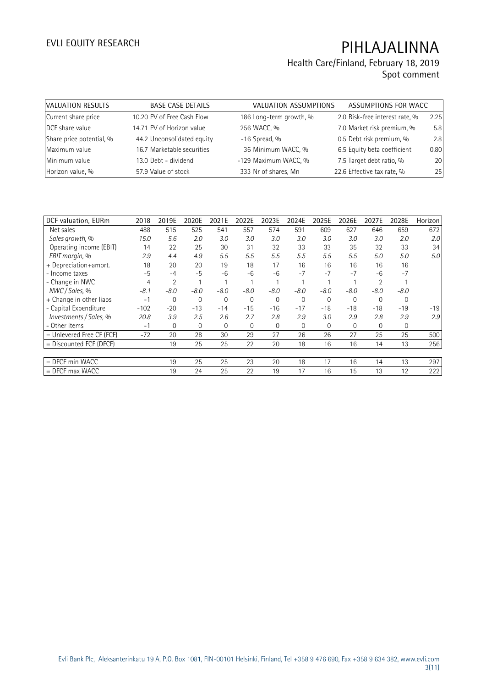| VALUATION RESULTS        | <b>BASE CASE DETAILS</b>   | VALUATION ASSUMPTIONS   | ASSUMPTIONS FOR WACC           |      |
|--------------------------|----------------------------|-------------------------|--------------------------------|------|
| Current share price      | 10.20 PV of Free Cash Flow | 186 Long-term growth, % | 2.0 Risk-free interest rate, % | 2.25 |
| DCF share value          | 14.71 PV of Horizon value  | 256 WACC, %             | 7.0 Market risk premium, %     | 5.8  |
| Share price potential, % | 44.2 Unconsolidated equity | $-16$ Spread, %         | 0.5 Debt risk premium, %       | 2.8  |
| Maximum value            | 16.7 Marketable securities | 36 Minimum WACC, %      | 6.5 Equity beta coefficient    | 0.80 |
| Minimum value            | 13.0 Debt - dividend       | -129 Maximum WACC, %    | 7.5 Target debt ratio, %       | 20   |
| Horizon value, %         | 57.9 Value of stock        | 333 Nr of shares, Mn    | 22.6 Effective tax rate, %     | 25   |

| DCF valuation, EURm       | 2018   | 2019E        | 2020E        | 2021E        | 2022E       | 2023E       | 2024E        | 2025E  | 2026E          | 2027E          | 2028E       | Horizon |
|---------------------------|--------|--------------|--------------|--------------|-------------|-------------|--------------|--------|----------------|----------------|-------------|---------|
| Net sales                 | 488    | 515          | 525          | 541          | 557         | 574         | 591          | 609    | 627            | 646            | 659         | 672     |
| Sales growth, %           | 15.0   | 5.6          | 2.0          | 3.0          | 3.0         | 3.0         | 3.0          | 3.0    | 3.0            | 3.0            | 2.0         | 2.0     |
| Operating income (EBIT)   | 14     | 22           | 25           | 30           | 31          | 32          | 33           | 33     | 35             | 32             | 33          | 34      |
| EBIT margin, %            | 2.9    | 4.4          | 4.9          | 5.5          | 5.5         | 5.5         | 5.5          | 5.5    | 5.5            | 5.0            | 5.0         | 5.0     |
| + Depreciation+amort.     | 18     | 20           | 20           | 19           | 18          | 17          | 16           | 16     | 16             | 16             | 16          |         |
| - Income taxes            | $-5$   | $-4$         | $-5$         | $-6$         | $-6$        | $-6$        | $-7$         | $-7$   | $-7$           | $-6$           | $-7$        |         |
| - Change in NWC           | 4      | 2            |              |              |             |             |              |        |                | $\overline{2}$ |             |         |
| NWC / Sales, %            | $-8.1$ | $-8.0$       | $-8.0$       | $-8.0$       | $-8.0$      | $-8.0$      | $-8.0$       | $-8.0$ | $-8.0$         | $-8.0$         | $-8.0$      |         |
| + Change in other liabs   | $-1$   | $\mathbf{0}$ | $\mathbf{0}$ | $\mathbf{0}$ | $\mathbf 0$ | $\mathbf 0$ | 0            | 0      | $\overline{0}$ | 0              | 0           |         |
| - Capital Expenditure     | $-102$ | $-20$        | $-13$        | $-14$        | $-15$       | $-16$       | $-17$        | $-18$  | $-18$          | $-18$          | $-19$       | $-19$   |
| Investments / Sales, %    | 20.8   | 3.9          | 2.5          | 2.6          | 2.7         | 2.8         | 2.9          | 3.0    | 2.9            | 2.8            | 2.9         | 2.9     |
| - Other items             | $-1$   | 0            | 0            | $\mathbf{0}$ | $\mathbf 0$ | $\mathbf 0$ | $\mathbf{0}$ | 0      | $\mathbf 0$    | 0              | $\mathbf 0$ |         |
| = Unlevered Free CF (FCF) | $-72$  | 20           | 28           | 30           | 29          | 27          | 26           | 26     | 27             | 25             | 25          | 500     |
| $=$ Discounted FCF (DFCF) |        | 19           | 25           | 25           | 22          | 20          | 18           | 16     | 16             | 14             | 13          | 256     |
|                           |        |              |              |              |             |             |              |        |                |                |             |         |
| $=$ DFCF min WACC         |        | 19           | 25           | 25           | 23          | 20          | 18           | 17     | 16             | 14             | 13          | 297     |
| $=$ DFCF max WACC         |        | 19           | 24           | 25           | 22          | 19          | 17           | 16     | 15             | 13             | 12          | 222     |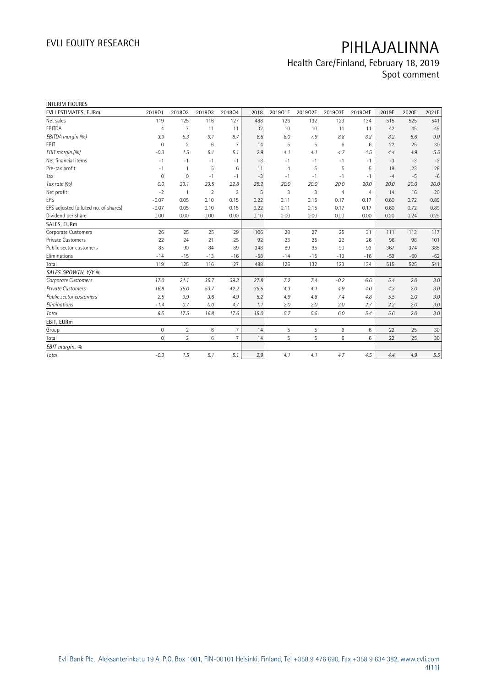| <b>INTERIM FIGURES</b>               |                     |                |                |                 |       |                |         |                |         |       |       |         |
|--------------------------------------|---------------------|----------------|----------------|-----------------|-------|----------------|---------|----------------|---------|-------|-------|---------|
| EVLI ESTIMATES, EURm                 | 201801              | 201802         | 201803         | 201804          | 2018  | 2019Q1E        | 2019Q2E | 2019Q3E        | 2019Q4E | 2019E | 2020E | 2021E   |
| Net sales                            | 119                 | 125            | 116            | 127             | 488   | 126            | 132     | 123            | 134     | 515   | 525   | 541     |
| EBITDA                               | $\overline{4}$      | $\overline{7}$ | 11             | 11              | 32    | 10             | 10      | 11             | 11      | 42    | 45    | 49      |
| EBITDA margin (%)                    | 3.3                 | 5.3            | 9.1            | 8.7             | 6.6   | 8.0            | 7.9     | 8.8            | 8.2     | 8.2   | 8.6   | $9.0\,$ |
| EBIT                                 | $\mathbf{0}$        | $\overline{2}$ | 6              | $\overline{7}$  | 14    | 5              | 5       | 6              | 6       | 22    | 25    | 30      |
| EBIT margin (%)                      | $-0.3$              | 1.5            | 5.1            | 5.1             | 2.9   | 4.1            | 4.1     | 4.7            | 4.5     | 4.4   | 4.9   | 5.5     |
| Net financial items                  | $-1$                | $-1$           | $-1$           | $-1$            | $-3$  | $-1$           | $-1$    | $-1$           | $-1$    | $-3$  | $-3$  | $-2$    |
| Pre-tax profit                       | $-1$                | 1              | 5              | 6               | 11    | $\overline{4}$ | 5       | 5              | 5       | 19    | 23    | 28      |
| Tax                                  | $\mathbf 0$         | $\mathbf{0}$   | $-1$           | $-1$            | $-3$  | $-1$           | $-1$    | $-1$           | $-1$    | $-4$  | $-5$  | $-6$    |
| Tax rate (%)                         | 0.0                 | 23.1           | 23.5           | 22.8            | 25.2  | 20.0           | 20.0    | 20.0           | 20.0    | 20.0  | 20.0  | 20.0    |
| Net profit                           | $-2$                |                | $\overline{2}$ | 3               | 5     | 3              | 3       | $\overline{4}$ | 4       | 14    | 16    | 20      |
| EPS                                  | $-0.07$             | 0.05           | 0.10           | 0.15            | 0.22  | 0.11           | 0.15    | 0.17           | 0.17    | 0.60  | 0.72  | 0.89    |
| EPS adjusted (diluted no. of shares) | $-0.07$             | 0.05           | 0.10           | 0.15            | 0.22  | 0.11           | 0.15    | 0.17           | 0.17    | 0.60  | 0.72  | 0.89    |
| Dividend per share                   | 0.00                | 0.00           | 0.00           | 0.00            | 0.10  | 0.00           | 0.00    | 0.00           | 0.00    | 0.20  | 0.24  | 0.29    |
| SALES, EURm                          |                     |                |                |                 |       |                |         |                |         |       |       |         |
| Corporate Customers                  | 26                  | 25             | 25             | 29              | 106   | 28             | 27      | 25             | 31      | 111   | 113   | 117     |
| Private Customers                    | 22                  | 24             | 21             | 25              | 92    | 23             | 25      | 22             | 26      | 96    | 98    | 101     |
| Public sector customers              | 85                  | 90             | 84             | 89              | 348   | 89             | 95      | 90             | 93      | 367   | 374   | 385     |
| Eliminations                         | $-14$               | $-15$          | $-13$          | $-16$           | $-58$ | $-14$          | $-15$   | $-13$          | $-16$   | $-59$ | $-60$ | $-62$   |
| Total                                | 119                 | 125            | 116            | 127             | 488   | 126            | 132     | 123            | 134     | 515   | 525   | 541     |
| SALES GROWTH, Y/Y %                  |                     |                |                |                 |       |                |         |                |         |       |       |         |
| Corporate Customers                  | 17.0                | 21.1           | 35.7           | 39.3            | 27.8  | 7.2            | 7.4     | $-0.2$         | 6.6     | 5.4   | 2.0   | 3.0     |
| <b>Private Customers</b>             | 16.8                | 35.0           | 53.7           | 42.2            | 35.5  | 4.3            | 4.1     | 4.9            | 4.0     | 4.3   | 2.0   | 3.0     |
| Public sector customers              | 2.5                 | 9.9            | 3.6            | 4.9             | 5.2   | 4.9            | 4.8     | 7.4            | 4.8     | 5.5   | 2.0   | $3.0\,$ |
| Eliminations                         | $-1.4$              | 0.7            | 0.0            | 4.7             | 1.1   | 2.0            | 2.0     | 2.0            | 2.7     | 2.2   | 2.0   | $3.0\,$ |
| Total                                | 8.5                 | 17.5           | 16.8           | 17.6            | 15.0  | 5.7            | 5.5     | 6.0            | 5.4     | 5.6   | 2.0   | $3.0\,$ |
| EBIT, EURm                           |                     |                |                |                 |       |                |         |                |         |       |       |         |
| Group                                | $\mathsf{O}\xspace$ | $\overline{2}$ | 6              | $7\overline{ }$ | 14    | 5              | 5       | 6              | 6       | 22    | 25    | 30      |
| Total                                | $\mathbf 0$         | $\overline{2}$ | 6              | $\overline{7}$  | 14    | 5              | 5       | 6              | 6       | 22    | 25    | 30      |
| EBIT margin, %                       |                     |                |                |                 |       |                |         |                |         |       |       |         |
| Total                                | $-0.3$              | 1.5            | 5.1            | 5.1             | 2.9   | 4.1            | 4.1     | 4.7            | 4.5     | 4.4   | 4.9   | $5.5\,$ |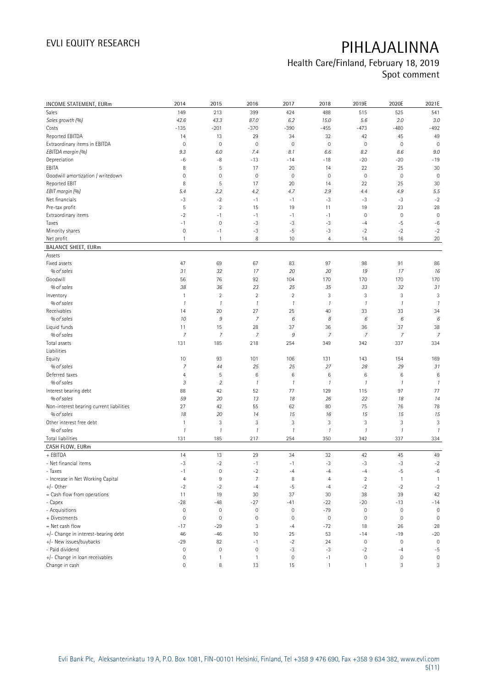| INCOME STATEMENT, EURm                   | 2014                      | 2015           | 2016                | 2017                | 2018           | 2019E               | 2020E               | 2021E                     |
|------------------------------------------|---------------------------|----------------|---------------------|---------------------|----------------|---------------------|---------------------|---------------------------|
| Sales                                    | 149                       | 213            | 399                 | 424                 | 488            | 515                 | 525                 | 541                       |
| Sales growth (%)                         | 42.6                      | 43.3           | 87.0                | 6.2                 | 15.0           | 5.6                 | 2.0                 | 3.0                       |
| Costs                                    | $-135$                    | $-201$         | $-370$              | $-390$              | $-455$         | $-473$              | $-480$              | $-492$                    |
| Reported EBITDA                          | 14                        | 13             | 29                  | 34                  | 32             | 42                  | 45                  | 49                        |
| Extraordinary items in EBITDA            | $\mathsf{O}\xspace$       | $\mathbf 0$    | $\mathbf 0$         | 0                   | $\mathbf 0$    | $\mathbf 0$         | $\mathbf 0$         | $\mathbf 0$               |
| EBITDA margin (%)                        | 9.3                       | 6.0            | 7.4                 | 8.1                 | 6.6            | 8.2                 | 8.6                 | 9.0                       |
| Depreciation                             | -6                        | -8             | $-13$               | $-14$               | $-18$          | $-20$               | $-20$               | $-19$                     |
| EBITA                                    | 8                         | 5              | 17                  | 20                  | 14             | 22                  | 25                  | 30                        |
| Goodwill amortization / writedown        | $\mathbf 0$               | $\mathbf 0$    | $\mathbb O$         | $\mathbb O$         | $\mathbf 0$    | $\mathbb O$         | $\mathbb O$         | $\mathbf 0$               |
| Reported EBIT                            | 8                         | $\mathsf S$    | 17                  | 20                  | 14             | 22                  | 25                  | 30                        |
| EBIT margin (%)                          | 5.4                       | 2.2            | 4.2                 | 4.7                 | 2.9            | 4.4                 | 4.9                 | 5.5                       |
| Net financials                           | $-3$                      | $-2$           | $-1$                | $-1$                | $-3$           | $-3$                | $-3$                | $-2$                      |
| Pre-tax profit                           | 5                         | $\sqrt{2}$     | 15                  | 19                  | 11             | 19                  | 23                  | 28                        |
| Extraordinary items                      | $-2$                      | $-1$           | $-1$                | $-1$                | $-1$           | $\mathbf 0$         | $\mathbf 0$         | $\mathbf 0$               |
| Taxes                                    | $-1$                      | $\mathbf 0$    | $-3$                | $-3$                | $-3$           | $-4$                | $-5$                | $-6$                      |
| Minority shares                          | $\mathbb O$               | $-1$           | $-3$                | $-5$                | $-3$           | $-2$                | $-2$                | $-2$                      |
| Net profit                               | $\mathbf{1}$              | 1              | 8                   | 10                  | $\overline{4}$ | 14                  | 16                  | 20                        |
| <b>BALANCE SHEET, EURm</b>               |                           |                |                     |                     |                |                     |                     |                           |
| Assets                                   |                           |                |                     |                     |                |                     |                     |                           |
| Fixed assets                             | 47                        | 69             | 67                  | 83                  | 97             | 98                  | 91                  | 86                        |
| % of sales                               | 31                        | 32             | 17                  | 20                  | 20             | 19                  | 17                  | 16                        |
| Goodwill                                 | 56                        | 76             | 92                  | 104                 | 170            | 170                 | 170                 | 170                       |
| % of sales                               | 38                        | 36             | 23                  | 25                  | 35             | 33                  | 32                  | 31                        |
| Inventory                                | $\mathbf{1}$              | $\overline{2}$ | $\overline{2}$      | $\overline{2}$      | 3              | 3                   | 3                   | 3                         |
| % of sales                               | $\mathcal{I}$             | $\mathcal{I}$  | $\mathcal{I}$       | $\mathcal{I}$       | $\mathbf{1}$   | $\mathcal{I}$       | $\mathcal{I}$       | $\overline{\mathfrak{c}}$ |
| Receivables                              | 14                        | 20             | 27                  | 25                  | 40             | 33                  | 33                  | 34                        |
| % of sales                               | 10                        | 9              | $\overline{z}$      | 6                   | 8              | 6                   | 6                   | 6                         |
| Liquid funds                             | 11                        | 15             | 28                  | 37                  | 36             | 36                  | 37                  | 38                        |
| % of sales                               | $\overline{7}$            | $\overline{7}$ | $\overline{z}$      | 9                   | $\overline{7}$ | $\overline{7}$      | $\boldsymbol{7}$    | $\overline{7}$            |
| Total assets                             | 131                       | 185            | 218                 | 254                 | 349            | 342                 | 337                 | 334                       |
| Liabilities                              |                           |                |                     |                     |                |                     |                     |                           |
| Equity                                   | 10                        | 93             | 101                 | 106                 | 131            | 143                 | 154                 | 169                       |
| % of sales                               | $\overline{7}$            | 44             | 25                  | 25                  | 27             | 28                  | 29                  | 31                        |
| Deferred taxes                           | 4                         | $\mathsf S$    | 6                   | 6                   | 6              | 6                   | 6                   | 6                         |
| % of sales                               | 3                         | $\sqrt{2}$     | $\mathcal{I}$       | $\boldsymbol{\eta}$ | $\mathbf{1}$   | $\boldsymbol{\eta}$ | $\boldsymbol{\eta}$ | $\mathcal{I}$             |
| Interest bearing debt                    | 88                        | 42             | 52                  | 77                  | 129            | 115                 | 97                  | 77                        |
| % of sales                               | 59                        | 20             | 13                  | 18                  | 26             | 22                  | 18                  | 14                        |
| Non-interest bearing current liabilities | 27                        | 42             | 55                  | 62                  | 80             | 75                  | 76                  | 78                        |
| % of sales                               | 18                        | 20             | 14                  | 15                  | 16             | 15                  | 15                  | 15                        |
| Other interest free debt                 | $\overline{1}$            | 3              | 3                   | 3                   | 3              | 3                   | 3                   | 3                         |
| % of sales                               | $\overline{\mathfrak{1}}$ | $\mathcal{I}$  | $\mathcal{I}$       | $\mathcal{I}$       | $\mathcal{I}$  | $\mathcal{I}$       | $\mathcal{I}$       | $\overline{\mathfrak{1}}$ |
| Total liabilities                        | 131                       | 185            | 217                 | 254                 | 350            | 342                 | 337                 | 334                       |
| CASH FLOW, EURm                          |                           |                |                     |                     |                |                     |                     |                           |
| + EBITDA                                 | 14                        | 13             | 29                  | 34                  | 32             | 42                  | 45                  | 49                        |
| - Net financial items                    | -3                        | $\cdot$ 2      | $-1$                | $-1$                | -3             | -3                  | -3                  | $-2$                      |
| - Taxes                                  | $-1$                      | $\mathbf 0$    | $-2$                | $-4$                | $-4$           | $-4$                | $-5$                | $-6$                      |
| - Increase in Net Working Capital        | $\overline{4}$            | $\,9$          | $\overline{7}$      | 8                   | $\overline{4}$ | $\overline{2}$      | 1                   | $\overline{1}$            |
| $+/-$ Other                              | $-2$                      | $-2$           | $-4$                | $-5$                | $-4$           | $-2$                | $-2$                | $-2$                      |
| = Cash flow from operations              | 11                        | 19             | 30                  | 37                  | 30             | 38                  | 39                  | 42                        |
| - Capex                                  | $-28$                     | $-48$          | $-27$               | $-41$               | $-22$          | $-20$               | $-13$               | $-14$                     |
| - Acquisitions                           | $\mathbb O$               | $\mathbf 0$    | $\mathsf{O}\xspace$ | $\mathbf 0$         | $-79$          | $\mathbf 0$         | $\mathsf{O}\xspace$ | $\mathbf 0$               |
| + Divestments                            | $\mathsf{O}\xspace$       | $\mathbf 0$    | $\mathbb O$         | $\mathbf 0$         | $\mathbb O$    | $\mathbb O$         | $\mathbb O$         | $\mathbf 0$               |
| $=$ Net cash flow                        | $-17$                     | $-29$          | 3                   | $-4$                | $-72$          | 18                  | 26                  | 28                        |
| +/- Change in interest-bearing debt      | 46                        | $-46$          | 10                  | 25                  | 53             | $-14$               | $-19$               | $-20$                     |
| +/- New issues/buybacks                  | $-29$                     | 82             | $-1$                | $-2$                | 24             | $\mathbf 0$         | $\mathbf 0$         | $\mathsf{O}\xspace$       |
| - Paid dividend                          | $\mathbb O$               | $\mathbf 0$    | $\mathbf 0$         | $-3$                | $-3$           | $-2$                | $-4$                | $-5$                      |
| +/- Change in loan receivables           | $\circ$                   | $\mathbf{1}$   | $\mathbf{1}$        | $\mathbf 0$         | $-1$           | $\mathbb O$         | $\mathbb O$         | $\mathbf 0$               |
| Change in cash                           | $\mathsf{O}\xspace$       | 8              | 13                  | 15                  | $\mathbf{1}$   | $\mathbf{1}$        | 3                   | 3                         |
|                                          |                           |                |                     |                     |                |                     |                     |                           |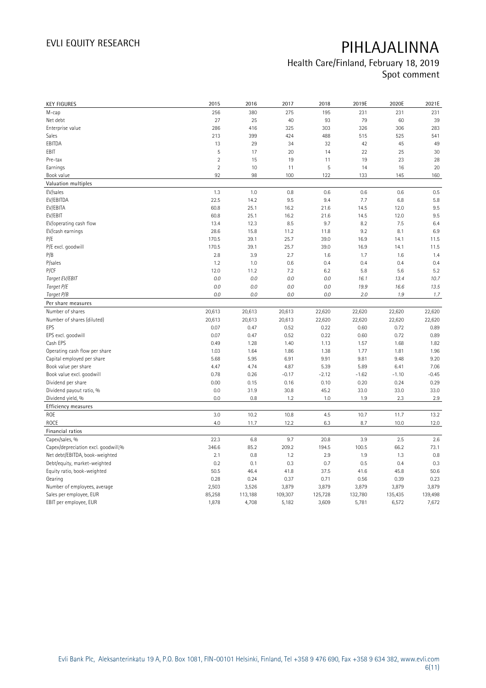| <b>KEY FIGURES</b>                  | 2015           | 2016    | 2017    | 2018    | 2019E   | 2020E   | 2021E   |
|-------------------------------------|----------------|---------|---------|---------|---------|---------|---------|
| M-cap                               | 256            | 380     | 275     | 195     | 231     | 231     | 231     |
| Net debt                            | 27             | 25      | 40      | 93      | 79      | 60      | 39      |
| Enterprise value                    | 286            | 416     | 325     | 303     | 326     | 306     | 283     |
| Sales                               | 213            | 399     | 424     | 488     | 515     | 525     | 541     |
| EBITDA                              | 13             | 29      | 34      | 32      | 42      | 45      | 49      |
| EBIT                                | 5              | 17      | 20      | 14      | 22      | 25      | 30      |
| Pre-tax                             | $\overline{2}$ | 15      | 19      | 11      | 19      | 23      | 28      |
| Earnings                            | $\overline{2}$ | 10      | 11      | 5       | 14      | 16      | 20      |
| Book value                          | 92             | 98      | 100     | 122     | 133     | 145     | 160     |
| Valuation multiples                 |                |         |         |         |         |         |         |
| EV/sales                            | 1.3            | 1.0     | 0.8     | 0.6     | 0.6     | 0.6     | 0.5     |
| EV/EBITDA                           | 22.5           | 14.2    | 9.5     | 9.4     | 7.7     | 6.8     | 5.8     |
| EV/EBITA                            | 60.8           | 25.1    | 16.2    | 21.6    | 14.5    | 12.0    | 9.5     |
| EV/EBIT                             | 60.8           | 25.1    | 16.2    | 21.6    | 14.5    | 12.0    | 9.5     |
| EV/operating cash flow              | 13.4           | 12.3    | 8.5     | 9.7     | 8.2     | 7.5     | 6.4     |
| EV/cash earnings                    | 28.6           | 15.8    | 11.2    | 11.8    | 9.2     | 8.1     | 6.9     |
| P/E                                 | 170.5          | 39.1    | 25.7    | 39.0    | 16.9    | 14.1    | 11.5    |
| P/E excl. goodwill                  | 170.5          | 39.1    | 25.7    | 39.0    | 16.9    | 14.1    | 11.5    |
| P/B                                 | 2.8            | 3.9     | 2.7     | 1.6     | 1.7     | 1.6     | 1.4     |
| P/sales                             | 1.2            | 1.0     | 0.6     | 0.4     | 0.4     | 0.4     | 0.4     |
| P/CF                                | 12.0           | 11.2    | 7.2     | 6.2     | 5.8     | 5.6     | 5.2     |
| Target EV/EBIT                      | 0.0            | 0.0     | $0.0\,$ | 0.0     | 16.1    | 13.4    | 10.7    |
| Target P/E                          | 0.0            | 0.0     | 0.0     | 0.0     | 19.9    | 16.6    | 13.5    |
| Target P/B                          | 0.0            | 0.0     | $0.0\,$ | 0.0     | 2.0     | 1.9     | 1.7     |
| Per share measures                  |                |         |         |         |         |         |         |
| Number of shares                    | 20,613         | 20,613  | 20,613  | 22,620  | 22,620  | 22,620  | 22,620  |
| Number of shares (diluted)          | 20,613         | 20,613  | 20,613  | 22,620  | 22,620  | 22,620  | 22,620  |
| EPS                                 | 0.07           | 0.47    | 0.52    | 0.22    | 0.60    | 0.72    | 0.89    |
| EPS excl. goodwill                  | 0.07           | 0.47    | 0.52    | 0.22    | 0.60    | 0.72    | 0.89    |
| Cash EPS                            | 0.49           | 1.28    | 1.40    | 1.13    | 1.57    | 1.68    | 1.82    |
| Operating cash flow per share       | 1.03           | 1.64    | 1.86    | 1.38    | 1.77    | 1.81    | 1.96    |
| Capital employed per share          | 5.68           | 5.95    | 6.91    | 9.91    | 9.81    | 9.48    | 9.20    |
| Book value per share                | 4.47           | 4.74    | 4.87    | 5.39    | 5.89    | 6.41    | 7.06    |
| Book value excl. goodwill           | 0.78           | 0.26    | $-0.17$ | $-2.12$ | $-1.62$ | $-1.10$ | $-0.45$ |
| Dividend per share                  | 0.00           | 0.15    | 0.16    | 0.10    | 0.20    | 0.24    | 0.29    |
| Dividend payout ratio, %            | 0.0            | 31.9    | 30.8    | 45.2    | 33.0    | 33.0    | 33.0    |
| Dividend yield, %                   | 0.0            | 0.8     | 1.2     | 1.0     | 1.9     | 2.3     | 2.9     |
| <b>Efficiency measures</b>          |                |         |         |         |         |         |         |
| ROE                                 | 3.0            | 10.2    | 10.8    | 4.5     | 10.7    | 11.7    | 13.2    |
| <b>ROCE</b>                         | 4.0            | 11.7    | 12.2    | 6.3     | 8.7     | 10.0    | 12.0    |
| Financial ratios                    |                |         |         |         |         |         |         |
| Capex/sales, %                      | 22.3           | 6.8     | 9.7     | 20.8    | 3.9     | 2.5     | 2.6     |
| Capex/depreciation excl. goodwill,% | 346.6          | 85.2    | 209.2   | 194.5   | 100.5   | 66.2    | 73.1    |
| Net debt/EBITDA, book-weighted      | 2.1            | 0.8     | 1.2     | 2.9     | 1.9     | 1.3     | 0.8     |
| Debt/equity, market-weighted        | 0.2            | 0.1     | 0.3     | 0.7     | 0.5     | 0.4     | 0.3     |
| Equity ratio, book-weighted         | 50.5           | 46.4    | 41.8    | 37.5    | 41.6    | 45.8    | 50.6    |
| Gearing                             | 0.28           | 0.24    | 0.37    | 0.71    | 0.56    | 0.39    | 0.23    |
| Number of employees, average        | 2,503          | 3,526   | 3,879   | 3,879   | 3,879   | 3,879   | 3,879   |
| Sales per employee, EUR             | 85,258         | 113,188 | 109,307 | 125,728 | 132,780 | 135,435 | 139,498 |
| EBIT per employee, EUR              | 1,878          | 4,708   | 5,182   | 3,609   | 5,781   | 6,572   | 7,672   |
|                                     |                |         |         |         |         |         |         |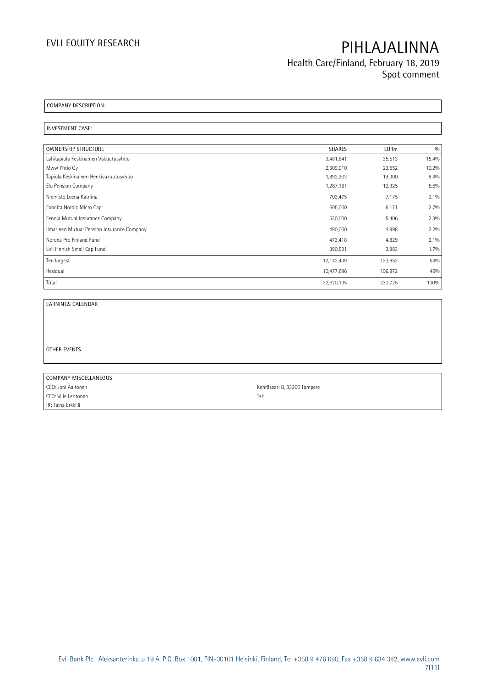**Health Care/Finland, February 18, 2019 Spot comment**

**COMPANY DESCRIPTION:** 

**INVESTMENT CASE:** 

| <b>OWNERSHIP STRUCTURE</b>                 | <b>SHARES</b> | <b>EURm</b> | 0/0     |
|--------------------------------------------|---------------|-------------|---------|
| Lähitapiola Keskinäinen Vakuutusyhtiö      | 3,481,641     | 35.513      | 15.4%   |
| Mww Yhtiö Oy                               | 2,309,010     | 23.552      | 10.2%   |
| Tapiola Keskinäinen Henkivakuutusyhtiö     | 1,892,203     | 19.300      | 8.4%    |
| Elo Pension Company                        | 1,267,161     | 12.925      | 5.6%    |
| Niemistö Leena Katriina                    | 703,475       | 7.175       | $3.1\%$ |
| Fondita Nordic Micro Cap                   | 605,000       | 6.171       | 2.7%    |
| Fennia Mutual Insurance Company            | 530,000       | 5.406       | 2.3%    |
| Ilmarinen Mutual Pension Insurance Company | 490,000       | 4.998       | 2.2%    |
| Nordea Pro Finland Fund                    | 473,418       | 4.829       | 2.1%    |
| Evli Finnish Small Cap Fund                | 390,531       | 3.983       | 1.7%    |
| Ten largest                                | 12,142,439    | 123.853     | 54%     |
| Residual                                   | 10,477,696    | 106.872     | 46%     |
| Total                                      | 22,620,135    | 230.725     | 100%    |

**EARNINGS CALENDAR**

**OTHER EVENTS**

**COMPANY MISCELLANEOUS** CEO: Joni Aaltonen Kehräsaari B, 33200 Tampere CFO: Ville Lehtonen Tel: IR: Taina Erkkilä

 $\overline{\phantom{0}}$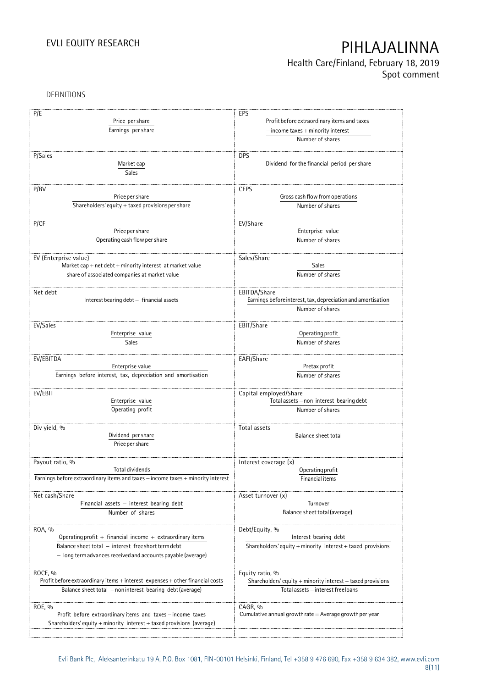**Health Care/Finland, February 18, 2019 Spot comment**

DEFINITIONS

| P/E                                                                              | <b>EPS</b>                                                   |
|----------------------------------------------------------------------------------|--------------------------------------------------------------|
| Price per share                                                                  | Profit before extraordinary items and taxes                  |
| Earnings per share                                                               | $-$ income taxes $+$ minority interest                       |
|                                                                                  | Number of shares                                             |
| P/Sales                                                                          | <b>DPS</b>                                                   |
| Market cap                                                                       | Dividend for the financial period per share                  |
|                                                                                  |                                                              |
| Sales                                                                            |                                                              |
| P/BV                                                                             | <b>CEPS</b>                                                  |
| Price per share                                                                  | Gross cash flow from operations                              |
| Shareholders' equity + taxed provisions per share                                | Number of shares                                             |
|                                                                                  |                                                              |
| P/CF                                                                             | EV/Share                                                     |
| Price per share                                                                  | Enterprise value                                             |
| Operating cash flow per share                                                    | Number of shares                                             |
|                                                                                  |                                                              |
| EV (Enterprise value)                                                            | Sales/Share                                                  |
| Market cap + net debt + minority interest at market value                        | Sales                                                        |
| - share of associated companies at market value                                  | Number of shares                                             |
|                                                                                  |                                                              |
| Net debt                                                                         | EBITDA/Share                                                 |
| Interest bearing debt - financial assets                                         | Earnings before interest, tax, depreciation and amortisation |
|                                                                                  | Number of shares                                             |
|                                                                                  |                                                              |
| EV/Sales                                                                         | EBIT/Share                                                   |
| Enterprise value                                                                 | Operating profit                                             |
| Sales                                                                            | Number of shares                                             |
|                                                                                  |                                                              |
| EV/EBITDA                                                                        | EAFI/Share                                                   |
| Enterprise value                                                                 | Pretax profit                                                |
| Earnings before interest, tax, depreciation and amortisation                     | Number of shares                                             |
|                                                                                  |                                                              |
| EV/EBIT                                                                          | Capital employed/Share                                       |
| Enterprise value                                                                 | Total assets - non interest bearing debt                     |
| Operating profit                                                                 | Number of shares                                             |
|                                                                                  |                                                              |
| Div yield, %                                                                     | Total assets                                                 |
| Dividend per share                                                               | Balance sheet total                                          |
| Price per share                                                                  |                                                              |
|                                                                                  |                                                              |
| Payout ratio, %<br>Total dividends                                               | Interest coverage (x)<br>Operating profit                    |
| Earnings before extraordinary items and taxes - income taxes + minority interest | Financial items                                              |
|                                                                                  |                                                              |
| Net cash/Share                                                                   | Asset turnover (x)                                           |
| Financial assets - interest bearing debt                                         | Turnover                                                     |
| Number of shares                                                                 | Balance sheet total (average)                                |
|                                                                                  |                                                              |
| ROA, %                                                                           | Debt/Equity, %                                               |
| Operating profit + financial income + extraordinary items                        | Interest bearing debt                                        |
| Balance sheet total - interest free short term debt                              | Shareholders' equity + minority interest + taxed provisions  |
| - long term advances received and accounts payable (average)                     |                                                              |
|                                                                                  |                                                              |
| ROCE, %                                                                          | Equity ratio, %                                              |
| Profit before extraordinary items + interest expenses + other financial costs    | Shareholders' equity + minority interest + taxed provisions  |
| Balance sheet total - non interest bearing debt (average)                        | Total assets - interest free loans                           |
|                                                                                  |                                                              |
| ROE, %                                                                           | CAGR, %                                                      |
| Profit before extraordinary items and taxes - income taxes                       | Cumulative annual growth rate = Average growth per year      |
| Shareholders' equity + minority interest + taxed provisions (average)            |                                                              |
|                                                                                  |                                                              |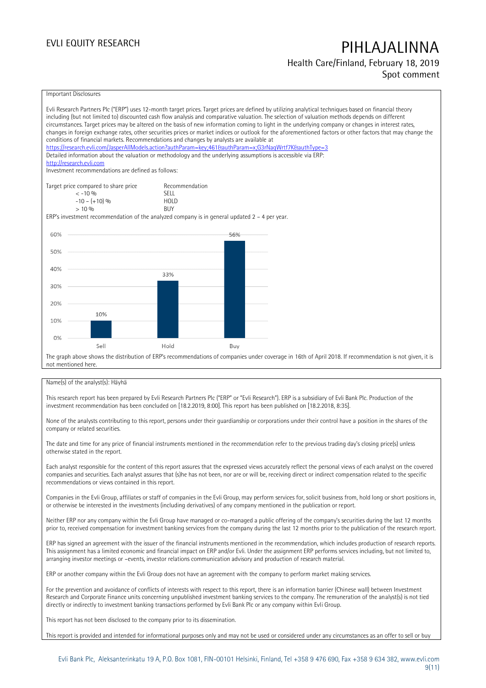## **Health Care/Finland, February 18, 2019**

**Spot comment**

### Important Disclosures

Evli Research Partners Plc ("ERP") uses 12-month target prices. Target prices are defined by utilizing analytical techniques based on financial theory including (but not limited to) discounted cash flow analysis and comparative valuation. The selection of valuation methods depends on different circumstances. Target prices may be altered on the basis of new information coming to light in the underlying company or changes in interest rates, changes in foreign exchange rates, other securities prices or market indices or outlook for the aforementioned factors or other factors that may change the conditions of financial markets. Recommendations and changes by analysts are available at https://research.evli.com/JasperAllModels.action?authParam=key;461&tauthParam=x;G3rNagWrtf7K&tauthType=3 Detailed information about the valuation or methodology and the underlying assumptions is accessible via ERP: [http://research.evli.com](http://research.evli.com/) Investment recommendations are defined as follows: Target price compared to share price Recommendation<br>  $\leq -10\%$  SFII  $\langle$  -10 % SELL<br>-10 - (+10) % SELL  $-10 - (+10) \%$  HOL<br>  $> 10 \%$  BUY  $> 10\%$ ERP's investment recommendation of the analyzed company is in general updated 2 – 4 per year. 60% 56% 50% 40% 33% 30% 20% 10% 10%  $0%$ Sell Hold Buy The graph above shows the distribution of ERP's recommendations of companies under coverage in 16th of April 2018. If recommendation is not given, it is not mentioned here.

### Name(s) of the analyst(s): Häyhä

This research report has been prepared by Evli Research Partners Plc ("ERP" or "Evli Research"). ERP is a subsidiary of Evli Bank Plc. Production of the investment recommendation has been concluded on [18.2.2019, 8:00]. This report has been published on [18.2.2018, 8:35].

None of the analysts contributing to this report, persons under their guardianship or corporations under their control have a position in the shares of the company or related securities.

The date and time for any price of financial instruments mentioned in the recommendation refer to the previous trading day's closing price(s) unless otherwise stated in the report.

Each analyst responsible for the content of this report assures that the expressed views accurately reflect the personal views of each analyst on the covered companies and securities. Each analyst assures that (s)he has not been, nor are or will be, receiving direct or indirect compensation related to the specific recommendations or views contained in this report.

Companies in the Evli Group, affiliates or staff of companies in the Evli Group, may perform services for, solicit business from, hold long or short positions in, or otherwise be interested in the investments (including derivatives) of any company mentioned in the publication or report.

Neither ERP nor any company within the Evli Group have managed or co-managed a public offering of the company's securities during the last 12 months prior to, received compensation for investment banking services from the company during the last 12 months prior to the publication of the research report.

ERP has signed an agreement with the issuer of the financial instruments mentioned in the recommendation, which includes production of research reports. This assignment has a limited economic and financial impact on ERP and/or Evli. Under the assignment ERP performs services including, but not limited to, arranging investor meetings or –events, investor relations communication advisory and production of research material.

ERP or another company within the Evli Group does not have an agreement with the company to perform market making services.

For the prevention and avoidance of conflicts of interests with respect to this report, there is an information barrier (Chinese wall) between Investment Research and Corporate Finance units concerning unpublished investment banking services to the company. The remuneration of the analyst(s) is not tied directly or indirectly to investment banking transactions performed by Evli Bank Plc or any company within Evli Group.

This report has not been disclosed to the company prior to its dissemination.

This report is provided and intended for informational purposes only and may not be used or considered under any circumstances as an offer to sell or buy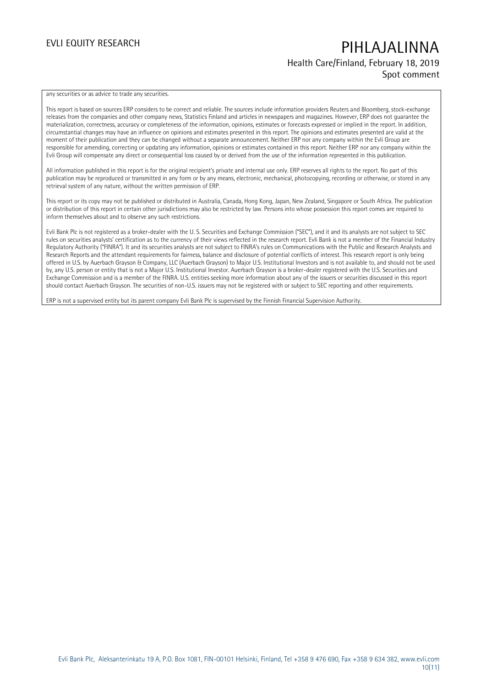### **Health Care/Finland, February 18, 2019 Spot comment**

any securities or as advice to trade any securities.

This report is based on sources ERP considers to be correct and reliable. The sources include information providers Reuters and Bloomberg, stock-exchange releases from the companies and other company news, Statistics Finland and articles in newspapers and magazines. However, ERP does not guarantee the materialization, correctness, accuracy or completeness of the information, opinions, estimates or forecasts expressed or implied in the report. In addition, circumstantial changes may have an influence on opinions and estimates presented in this report. The opinions and estimates presented are valid at the moment of their publication and they can be changed without a separate announcement. Neither ERP nor any company within the Evli Group are responsible for amending, correcting or updating any information, opinions or estimates contained in this report. Neither ERP nor any company within the Evli Group will compensate any direct or consequential loss caused by or derived from the use of the information represented in this publication.

All information published in this report is for the original recipient's private and internal use only. ERP reserves all rights to the report. No part of this publication may be reproduced or transmitted in any form or by any means, electronic, mechanical, photocopying, recording or otherwise, or stored in any retrieval system of any nature, without the written permission of ERP.

This report or its copy may not be published or distributed in Australia, Canada, Hong Kong, Japan, New Zealand, Singapore or South Africa. The publication or distribution of this report in certain other jurisdictions may also be restricted by law. Persons into whose possession this report comes are required to inform themselves about and to observe any such restrictions.

Evli Bank Plc is not registered as a broker-dealer with the U. S. Securities and Exchange Commission ("SEC"), and it and its analysts are not subject to SEC rules on securities analysts' certification as to the currency of their views reflected in the research report. Evli Bank is not a member of the Financial Industry Regulatory Authority ("FINRA"). It and its securities analysts are not subject to FINRA's rules on Communications with the Public and Research Analysts and Research Reports and the attendant requirements for fairness, balance and disclosure of potential conflicts of interest. This research report is only being offered in U.S. by Auerbach Grayson & Company, LLC (Auerbach Grayson) to Major U.S. Institutional Investors and is not available to, and should not be used by, any U.S. person or entity that is not a Major U.S. Institutional Investor. Auerbach Grayson is a broker-dealer registered with the U.S. Securities and Exchange Commission and is a member of the FINRA. U.S. entities seeking more information about any of the issuers or securities discussed in this report should contact Auerbach Grayson. The securities of non-U.S. issuers may not be registered with or subject to SEC reporting and other requirements.

ERP is not a supervised entity but its parent company Evli Bank Plc is supervised by the Finnish Financial Supervision Authority.